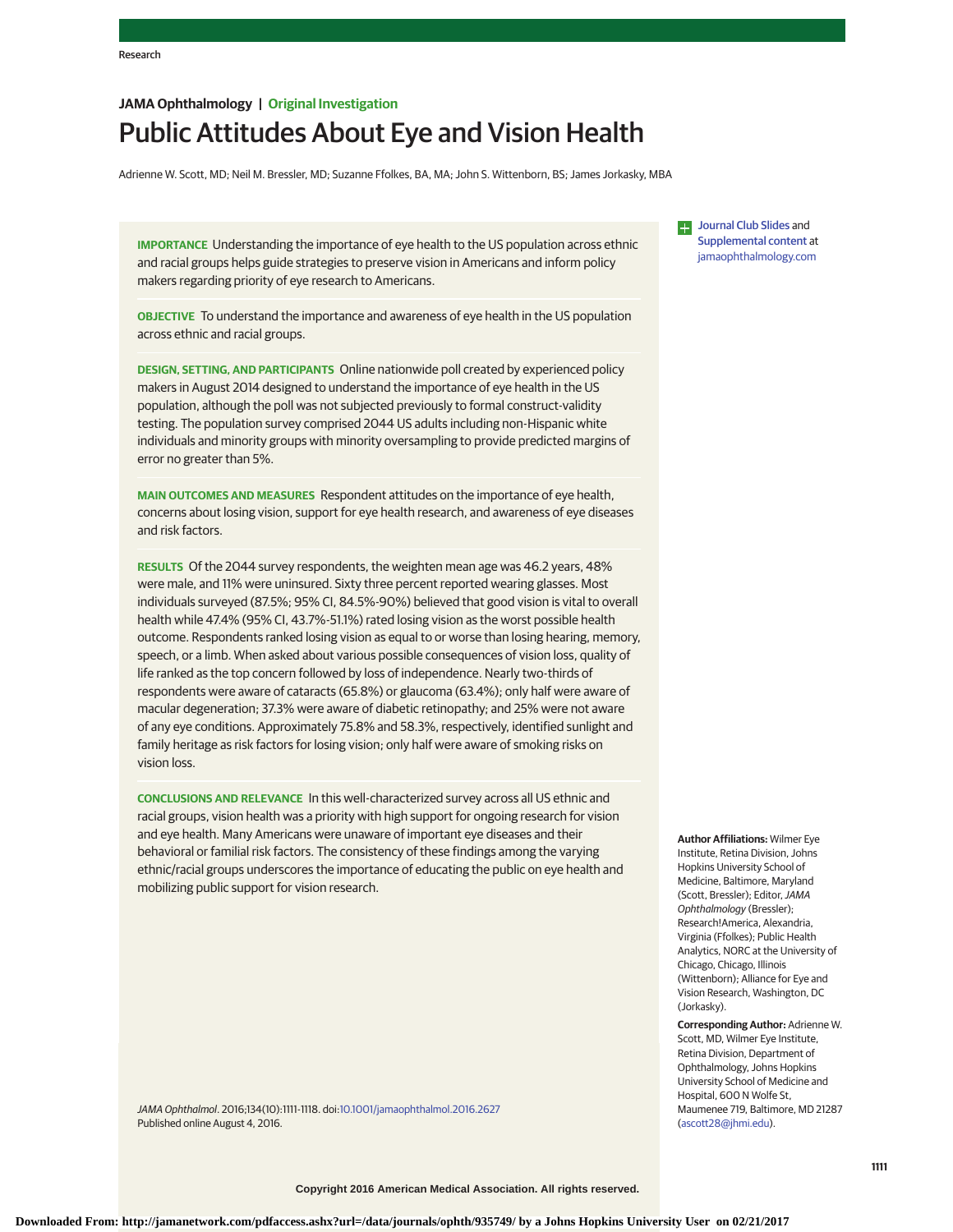# **JAMA Ophthalmology | Original Investigation**

# Public Attitudes About Eye and Vision Health

Adrienne W. Scott, MD; Neil M. Bressler, MD; Suzanne Ffolkes, BA, MA; John S. Wittenborn, BS; James Jorkasky, MBA

**IMPORTANCE** Understanding the importance of eye health to the US population across ethnic and racial groups helps guide strategies to preserve vision in Americans and inform policy makers regarding priority of eye research to Americans.

**OBJECTIVE** To understand the importance and awareness of eye health in the US population across ethnic and racial groups.

**DESIGN, SETTING, AND PARTICIPANTS** Online nationwide poll created by experienced policy makers in August 2014 designed to understand the importance of eye health in the US population, although the poll was not subjected previously to formal construct-validity testing. The population survey comprised 2044 US adults including non-Hispanic white individuals and minority groups with minority oversampling to provide predicted margins of error no greater than 5%.

**MAIN OUTCOMES AND MEASURES** Respondent attitudes on the importance of eye health, concerns about losing vision, support for eye health research, and awareness of eye diseases and risk factors.

**RESULTS** Of the 2044 survey respondents, the weighten mean age was 46.2 years, 48% were male, and 11% were uninsured. Sixty three percent reported wearing glasses. Most individuals surveyed (87.5%; 95% CI, 84.5%-90%) believed that good vision is vital to overall health while 47.4% (95% CI, 43.7%-51.1%) rated losing vision as the worst possible health outcome. Respondents ranked losing vision as equal to or worse than losing hearing, memory, speech, or a limb. When asked about various possible consequences of vision loss, quality of life ranked as the top concern followed by loss of independence. Nearly two-thirds of respondents were aware of cataracts (65.8%) or glaucoma (63.4%); only half were aware of macular degeneration; 37.3% were aware of diabetic retinopathy; and 25% were not aware of any eye conditions. Approximately 75.8% and 58.3%, respectively, identified sunlight and family heritage as risk factors for losing vision; only half were aware of smoking risks on vision loss.

**CONCLUSIONS AND RELEVANCE** In this well-characterized survey across all US ethnic and racial groups, vision health was a priority with high support for ongoing research for vision and eye health. Many Americans were unaware of important eye diseases and their behavioral or familial risk factors. The consistency of these findings among the varying ethnic/racial groups underscores the importance of educating the public on eye health and mobilizing public support for vision research.

JAMA Ophthalmol. 2016;134(10):1111-1118. doi[:10.1001/jamaophthalmol.2016.2627](http://jama.jamanetwork.com/article.aspx?doi=10.1001/jamaophthalmol.2016.2627&utm_campaign=articlePDF%26utm_medium=articlePDFlink%26utm_source=articlePDF%26utm_content=jamaophthalmol.2016.2627) Published online August 4, 2016.

[Journal Club Slides](http://jama.jamanetwork.com/article.aspx?doi=10.1001/jamaophthalmol.2016.2627&utm_campaign=articlePDF%26utm_medium=articlePDFlink%26utm_source=articlePDF%26utm_content=jamaophthalmol.2016.2627) and [Supplemental content](http://jama.jamanetwork.com/article.aspx?doi=10.1001/jamaophthalmol.2016.2627&utm_campaign=articlePDF%26utm_medium=articlePDFlink%26utm_source=articlePDF%26utm_content=jamaophthalmol.2016.2627) at [jamaophthalmology.com](http://wwwjamaophthalmology.com/?utm_campaign=articlePDF%26utm_medium=articlePDFlink%26utm_source=articlePDF%26utm_content=jamaophthalmol.2016.2627)

**Author Affiliations:** Wilmer Eye Institute, Retina Division, Johns Hopkins University School of Medicine, Baltimore, Maryland (Scott, Bressler); Editor, JAMA Ophthalmology (Bressler); Research!America, Alexandria, Virginia (Ffolkes); Public Health Analytics, NORC at the University of Chicago, Chicago, Illinois (Wittenborn); Alliance for Eye and Vision Research, Washington, DC (Jorkasky).

**Corresponding Author:** Adrienne W. Scott, MD, Wilmer Eye Institute, Retina Division, Department of Ophthalmology, Johns Hopkins University School of Medicine and Hospital, 600 N Wolfe St, Maumenee 719, Baltimore, MD 21287 [\(ascott28@jhmi.edu\)](mailto:ascott28@jhmi.edu).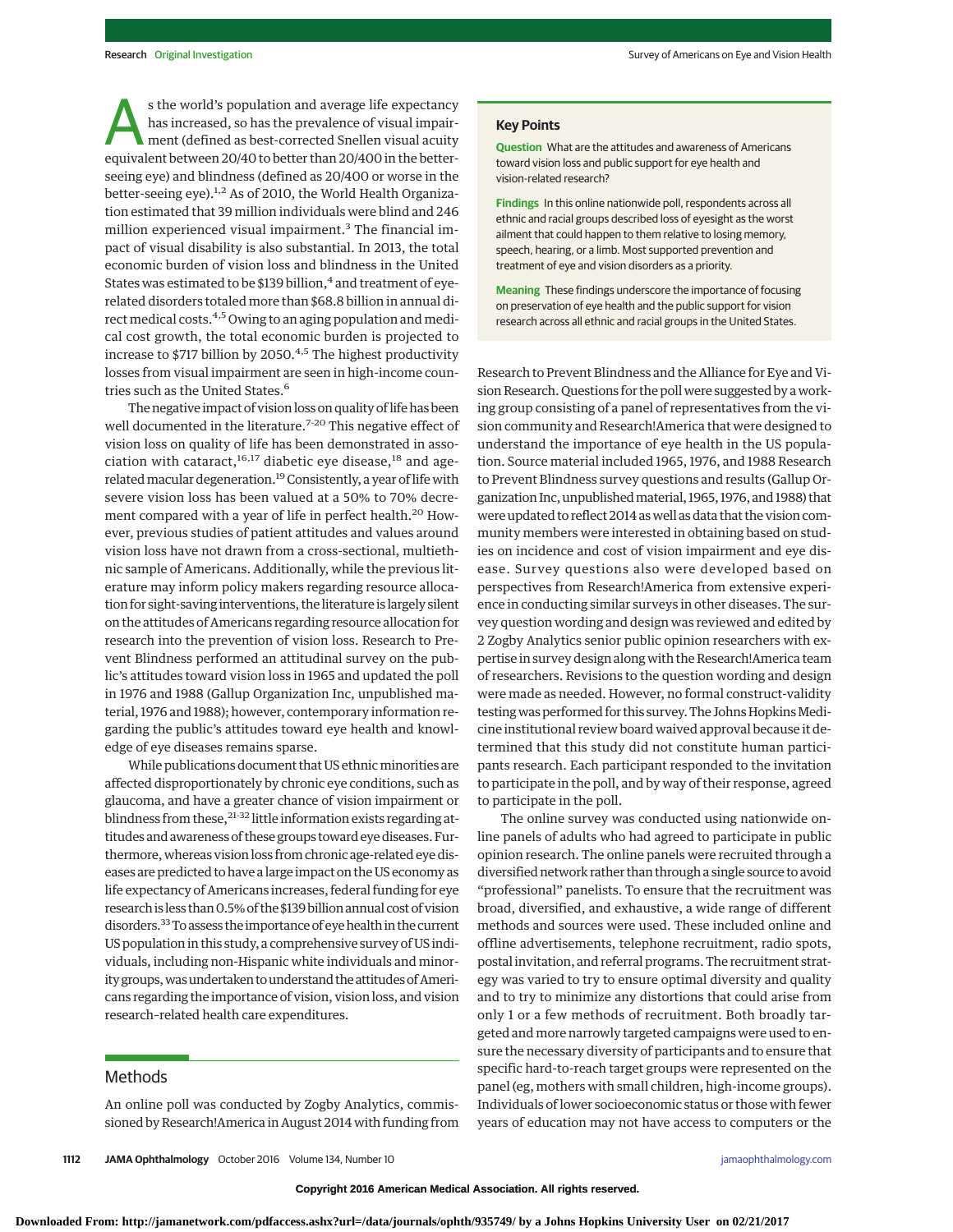s the world's population and average life expectancy has increased, so has the prevalence of visual impairment (defined as best-corrected Snellen visual acuity equivalent between 20/40 to better than 20/400 in the betterseeing eye) and blindness (defined as 20/400 or worse in the better-seeing eye). $1,2$  As of 2010, the World Health Organization estimated that 39 million individuals were blind and 246 million experienced visual impairment.<sup>3</sup> The financial impact of visual disability is also substantial. In 2013, the total economic burden of vision loss and blindness in the United States was estimated to be \$139 billion, $4$  and treatment of eyerelated disorders totaled more than \$68.8 billion in annual direct medical costs.<sup>4,5</sup> Owing to an aging population and medical cost growth, the total economic burden is projected to increase to \$717 billion by 2050. $4,5$  The highest productivity losses from visual impairment are seen in high-income countries such as the United States.<sup>6</sup>

The negative impact of vision loss on quality of life has been well documented in the literature.<sup>7-20</sup> This negative effect of vision loss on quality of life has been demonstrated in association with cataract, $16,17$  diabetic eye disease, $18$  and agerelated macular degeneration.<sup>19</sup> Consistently, a year of life with severe vision loss has been valued at a 50% to 70% decrement compared with a year of life in perfect health.<sup>20</sup> However, previous studies of patient attitudes and values around vision loss have not drawn from a cross-sectional, multiethnic sample of Americans. Additionally, while the previous literature may inform policy makers regarding resource allocation for sight-saving interventions, the literature is largely silent on the attitudes of Americans regarding resource allocation for research into the prevention of vision loss. Research to Prevent Blindness performed an attitudinal survey on the public's attitudes toward vision loss in 1965 and updated the poll in 1976 and 1988 (Gallup Organization Inc, unpublished material, 1976 and 1988); however, contemporary information regarding the public's attitudes toward eye health and knowledge of eye diseases remains sparse.

While publications document that US ethnic minorities are affected disproportionately by chronic eye conditions, such as glaucoma, and have a greater chance of vision impairment or blindness from these, <sup>21-32</sup> little information exists regarding attitudes and awareness of these groups toward eye diseases. Furthermore, whereas vision loss from chronic age-related eye diseases are predicted to have a large impact on the US economy as life expectancy of Americans increases, federal funding for eye research is less than 0.5% of the \$139 billion annual cost of vision disorders.<sup>33</sup> To assess the importance of eye health in the current US population in this study, a comprehensive survey of US individuals, including non-Hispanic white individuals and minority groups, was undertaken to understand the attitudes of Americans regarding the importance of vision, vision loss, and vision research–related health care expenditures.

# **Methods**

An online poll was conducted by Zogby Analytics, commissioned by Research!America in August 2014 with funding from **Key Points**

**Question** What are the attitudes and awareness of Americans toward vision loss and public support for eye health and vision-related research?

**Findings** In this online nationwide poll, respondents across all ethnic and racial groups described loss of eyesight as the worst ailment that could happen to them relative to losing memory, speech, hearing, or a limb. Most supported prevention and treatment of eye and vision disorders as a priority.

**Meaning** These findings underscore the importance of focusing on preservation of eye health and the public support for vision research across all ethnic and racial groups in the United States.

Research to Prevent Blindness and the Alliance for Eye and Vision Research. Questions for the poll were suggested by a working group consisting of a panel of representatives from the vision community and Research!America that were designed to understand the importance of eye health in the US population. Source material included 1965, 1976, and 1988 Research to Prevent Blindness survey questions and results (Gallup Organization Inc, unpublishedmaterial, 1965, 1976, and 1988) that were updated to reflect 2014 as well as data that the vision community members were interested in obtaining based on studies on incidence and cost of vision impairment and eye disease. Survey questions also were developed based on perspectives from Research!America from extensive experience in conducting similar surveys in other diseases. The survey question wording and design was reviewed and edited by 2 Zogby Analytics senior public opinion researchers with expertise in survey design along with the Research!America team of researchers. Revisions to the question wording and design were made as needed. However, no formal construct-validity testing was performed for this survey. The Johns Hopkins Medicine institutional review board waived approval because it determined that this study did not constitute human participants research. Each participant responded to the invitation to participate in the poll, and by way of their response, agreed to participate in the poll.

The online survey was conducted using nationwide online panels of adults who had agreed to participate in public opinion research. The online panels were recruited through a diversified network rather than through a single source to avoid "professional" panelists. To ensure that the recruitment was broad, diversified, and exhaustive, a wide range of different methods and sources were used. These included online and offline advertisements, telephone recruitment, radio spots, postal invitation, and referral programs. The recruitment strategy was varied to try to ensure optimal diversity and quality and to try to minimize any distortions that could arise from only 1 or a few methods of recruitment. Both broadly targeted and more narrowly targeted campaigns were used to ensure the necessary diversity of participants and to ensure that specific hard-to-reach target groups were represented on the panel (eg, mothers with small children, high-income groups). Individuals of lower socioeconomic status or those with fewer years of education may not have access to computers or the

**1112 JAMA Ophthalmology** October 2016 Volume 134, Number 10 **(Reprinted)** and provide a strategies of the strategies of the strategies of the strategies of the strategies of the strategies of the strategies of the strateg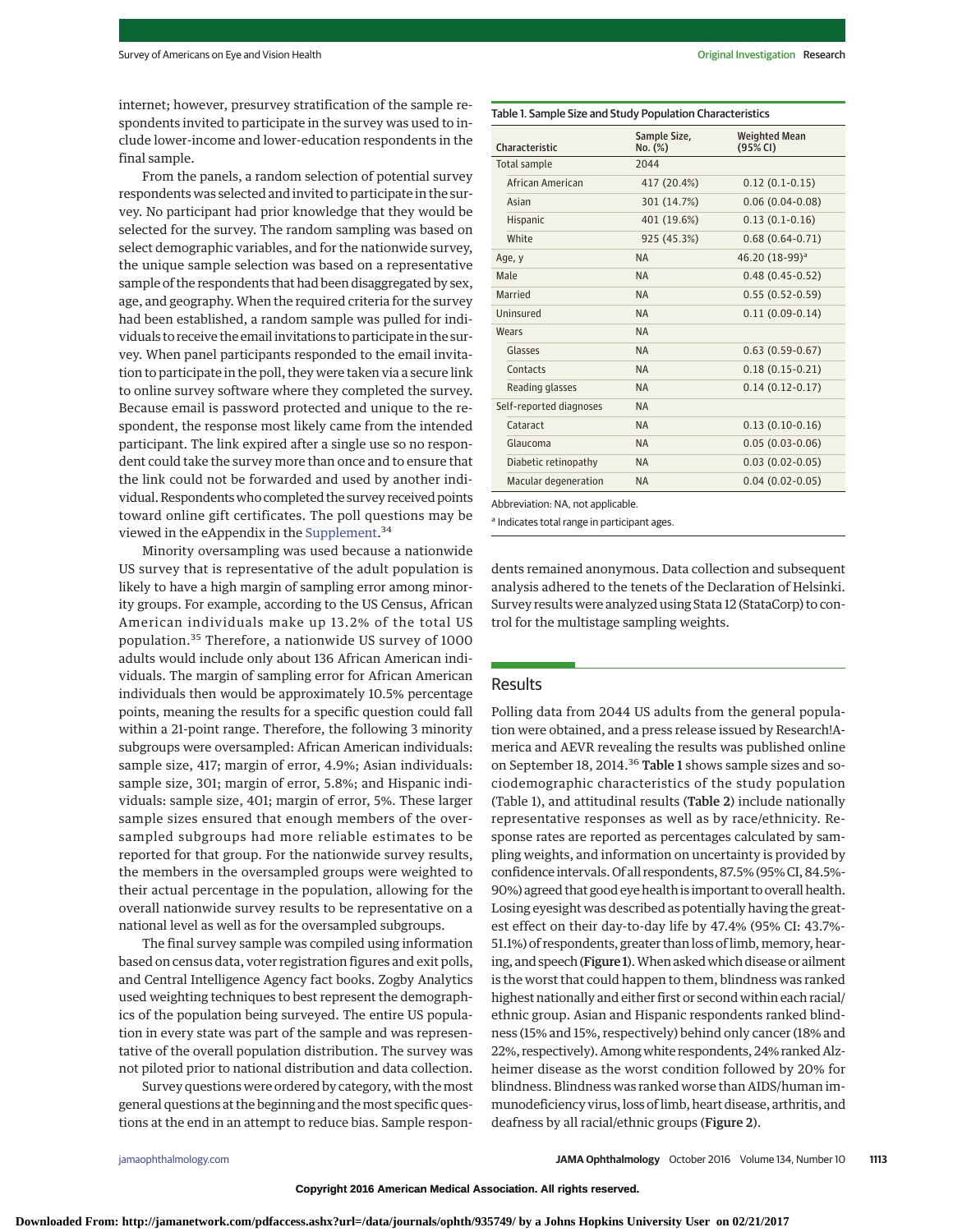internet; however, presurvey stratification of the sample respondents invited to participate in the survey was used to include lower-income and lower-education respondents in the final sample.

From the panels, a random selection of potential survey respondents was selected and invited to participate in the survey. No participant had prior knowledge that they would be selected for the survey. The random sampling was based on select demographic variables, and for the nationwide survey, the unique sample selection was based on a representative sample of the respondents that had been disaggregated by sex, age, and geography. When the required criteria for the survey had been established, a random sample was pulled for individuals to receive the email invitations to participate in the survey. When panel participants responded to the email invitation to participate in the poll, they were taken via a secure link to online survey software where they completed the survey. Because email is password protected and unique to the respondent, the response most likely came from the intended participant. The link expired after a single use so no respondent could take the survey more than once and to ensure that the link could not be forwarded and used by another individual. Respondents who completed the survey received points toward online gift certificates. The poll questions may be viewed in the eAppendix in the [Supplement.](http://jama.jamanetwork.com/article.aspx?doi=10.1001/jamaophthalmol.2016.2627&utm_campaign=articlePDF%26utm_medium=articlePDFlink%26utm_source=articlePDF%26utm_content=jamaophthalmol.2016.2627)<sup>34</sup>

Minority oversampling was used because a nationwide US survey that is representative of the adult population is likely to have a high margin of sampling error among minority groups. For example, according to the US Census, African American individuals make up 13.2% of the total US population.<sup>35</sup> Therefore, a nationwide US survey of 1000 adults would include only about 136 African American individuals. The margin of sampling error for African American individuals then would be approximately 10.5% percentage points, meaning the results for a specific question could fall within a 21-point range. Therefore, the following 3 minority subgroups were oversampled: African American individuals: sample size, 417; margin of error, 4.9%; Asian individuals: sample size, 301; margin of error, 5.8%; and Hispanic individuals: sample size, 401; margin of error, 5%. These larger sample sizes ensured that enough members of the oversampled subgroups had more reliable estimates to be reported for that group. For the nationwide survey results, the members in the oversampled groups were weighted to their actual percentage in the population, allowing for the overall nationwide survey results to be representative on a national level as well as for the oversampled subgroups.

The final survey sample was compiled using information based on census data, voter registration figures and exit polls, and Central Intelligence Agency fact books. Zogby Analytics used weighting techniques to best represent the demographics of the population being surveyed. The entire US population in every state was part of the sample and was representative of the overall population distribution. The survey was not piloted prior to national distribution and data collection.

Survey questions were ordered by category, with the most general questions at the beginning and the most specific questions at the end in an attempt to reduce bias. Sample respon-

| Table 1. Sample Size and Study Population Characteristics |
|-----------------------------------------------------------|
|-----------------------------------------------------------|

| Characteristic          | Sample Size,<br>No. (%) | <b>Weighted Mean</b><br>(95% CI) |
|-------------------------|-------------------------|----------------------------------|
| <b>Total sample</b>     | 2044                    |                                  |
| African American        | 417 (20.4%)             | $0.12(0.1-0.15)$                 |
| Asian                   | 301 (14.7%)             | $0.06(0.04-0.08)$                |
| Hispanic                | 401 (19.6%)             | $0.13(0.1-0.16)$                 |
| White                   | 925 (45.3%)             | $0.68(0.64-0.71)$                |
| Age, y                  | <b>NA</b>               | 46.20 (18-99) <sup>a</sup>       |
| Male                    | <b>NA</b>               | $0.48(0.45-0.52)$                |
| Married                 | <b>NA</b>               | $0.55(0.52-0.59)$                |
| Uninsured               | <b>NA</b>               | $0.11(0.09-0.14)$                |
| <b>Wears</b>            | <b>NA</b>               |                                  |
| Glasses                 | <b>NA</b>               | $0.63(0.59-0.67)$                |
| Contacts                | <b>NA</b>               | $0.18(0.15-0.21)$                |
| Reading glasses         | <b>NA</b>               | $0.14(0.12-0.17)$                |
| Self-reported diagnoses | <b>NA</b>               |                                  |
| Cataract                | <b>NA</b>               | $0.13(0.10-0.16)$                |
| Glaucoma                | <b>NA</b>               | $0.05(0.03-0.06)$                |
| Diabetic retinopathy    | <b>NA</b>               | $0.03(0.02-0.05)$                |
| Macular degeneration    | <b>NA</b>               | $0.04(0.02-0.05)$                |

Abbreviation: NA, not applicable.

<sup>a</sup> Indicates total range in participant ages.

dents remained anonymous. Data collection and subsequent analysis adhered to the tenets of the Declaration of Helsinki. Survey results were analyzed using Stata 12 (StataCorp) to control for the multistage sampling weights.

## Results

Polling data from 2044 US adults from the general population were obtained, and a press release issued by Research!America and AEVR revealing the results was published online on September 18, 2014.<sup>36</sup> Table 1 shows sample sizes and sociodemographic characteristics of the study population (Table 1), and attitudinal results (Table 2) include nationally representative responses as well as by race/ethnicity. Response rates are reported as percentages calculated by sampling weights, and information on uncertainty is provided by confidence intervals. Of all respondents, 87.5% (95% CI, 84.5%- 90%) agreed that good eye health is important to overall health. Losing eyesight was described as potentially having the greatest effect on their day-to-day life by 47.4% (95% CI: 43.7%- 51.1%) of respondents, greater than loss of limb, memory, hearing, and speech (Figure 1). When asked which disease or ailment is the worst that could happen to them, blindness was ranked highest nationally and either first or second within each racial/ ethnic group. Asian and Hispanic respondents ranked blindness (15% and 15%, respectively) behind only cancer (18% and 22%, respectively). Amongwhite respondents, 24% ranked Alzheimer disease as the worst condition followed by 20% for blindness. Blindness was ranked worse than AIDS/human immunodeficiency virus, loss of limb, heart disease, arthritis, and deafness by all racial/ethnic groups (Figure 2).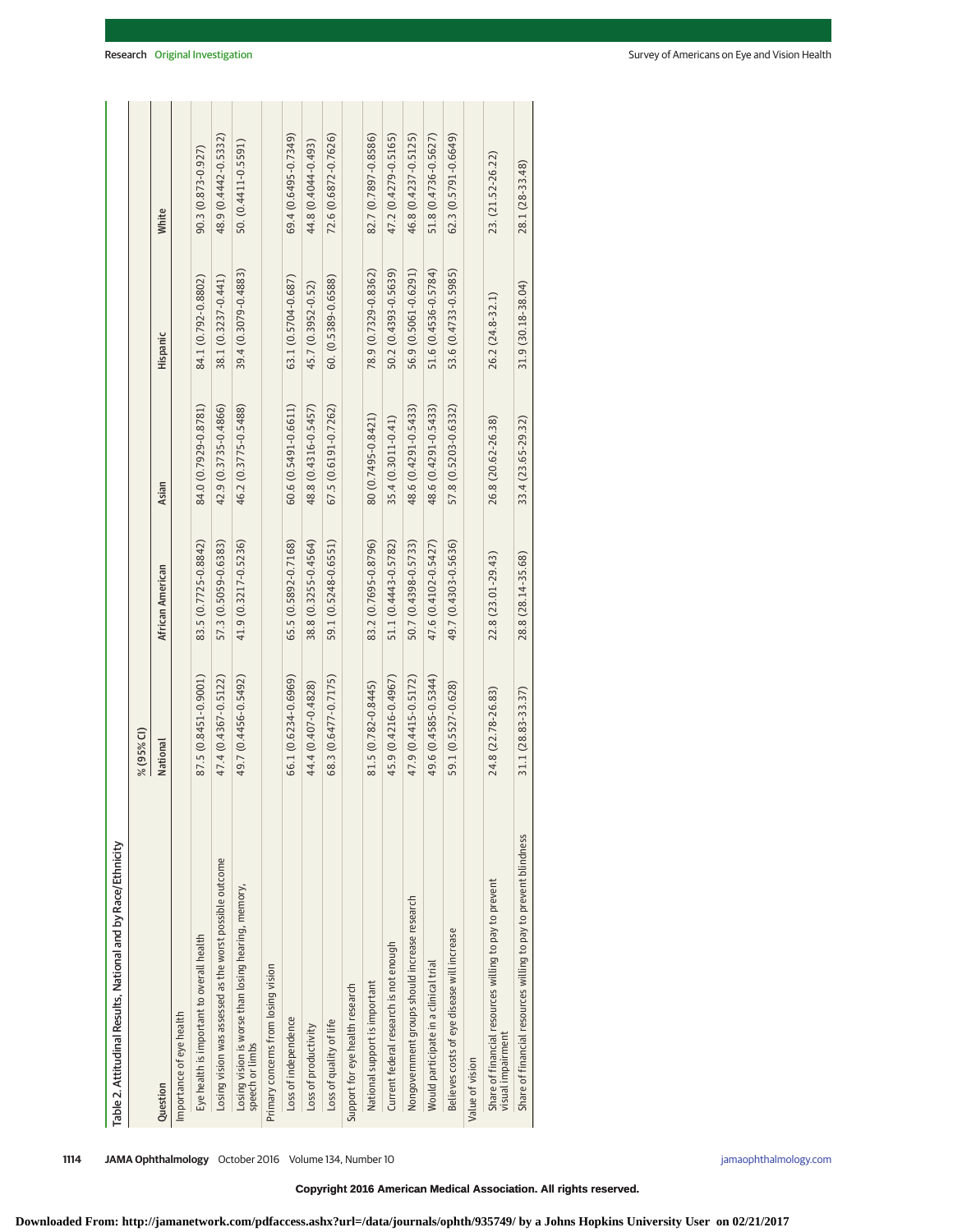| Table 2. Attitudinal Results, National and by Race/Ethnicity                |                      |                      |                      |                      |                      |
|-----------------------------------------------------------------------------|----------------------|----------------------|----------------------|----------------------|----------------------|
|                                                                             | % (95% CI)           |                      |                      |                      |                      |
| Question                                                                    | National             | African American     | Asian                | Hispanic             | White                |
| Importance of eye health                                                    |                      |                      |                      |                      |                      |
| Eye health is important to overall health                                   | 87.5 (0.8451-0.9001) | 83.5 (0.7725-0.8842) | 84.0 (0.7929-0.8781) | 84.1 (0.792-0.8802)  | 90.3 (0.873-0.927)   |
| Losing vision was assessed as the worst possible outcome                    | 47.4 (0.4367-0.5122) | 57.3 (0.5059-0.6383) | 42.9 (0.3735-0.4866) | 38.1 (0.3237-0.441)  | 48.9 (0.4442-0.5332) |
| Losing vision is worse than losing hearing, memory,<br>speech or limbs      | 49.7 (0.4456-0.5492) | 41.9 (0.3217-0.5236) | 46.2 (0.3775-0.5488) | 39.4 (0.3079-0.4883) | 50. (0.4411-0.5591)  |
| Primary concerns from losing vision                                         |                      |                      |                      |                      |                      |
| Loss of independence                                                        | 66.1 (0.6234-0.6969) | 65.5 (0.5892-0.7168) | 60.6 (0.5491-0.6611) | 63.1 (0.5704-0.687)  | 69.4 (0.6495-0.7349) |
| Loss of productivity                                                        | 44.4 (0.407-0.4828)  | 38.8 (0.3255-0.4564) | 48.8 (0.4316-0.5457) | 45.7 (0.3952-0.52)   | 44.8 (0.4044-0.493)  |
| Loss of quality of life                                                     | 68.3 (0.6477-0.7175) | 59.1 (0.5248-0.6551) | 67.5 (0.6191-0.7262) | 60. (0.5389-0.6588)  | 72.6 (0.6872-0.7626) |
| Support for eye health research                                             |                      |                      |                      |                      |                      |
| National support is important                                               | 81.5 (0.782-0.8445)  | 83.2 (0.7695-0.8796) | 80 (0.7495-0.8421)   | 78.9 (0.7329-0.8362) | 82.7 (0.7897-0.8586) |
| Current federal research is not enough                                      | 45.9 (0.4216-0.4967) | 51.1 (0.4443-0.5782) | 35.4 (0.3011-0.41)   | 50.2 (0.4393-0.5639) | 47.2 (0.4279-0.5165) |
| Nongovernment groups should increase research                               | 47.9 (0.4415-0.5172) | 50.7 (0.4398-0.5733) | 48.6 (0.4291-0.5433) | 56.9 (0.5061-0.6291) | 46.8 (0.4237-0.5125) |
| Would participate in a clinical trial                                       | 49.6 (0.4585-0.5344) | 47.6 (0.4102-0.5427) | 48.6 (0.4291-0.5433) | 51.6 (0.4536-0.5784) | 51.8 (0.4736-0.5627) |
| Believes costs of eye disease will increase                                 | 59.1 (0.5527-0.628)  | 49.7 (0.4303-0.5636) | 57.8 (0.5203-0.6332) | 53.6 (0.4733-0.5985) | 62.3 (0.5791-0.6649) |
| Value of vision                                                             |                      |                      |                      |                      |                      |
| Share of financial resources willing to pay to prevent<br>visual impairment | 24.8 (22.78-26.83)   | 22.8 (23.01-29.43)   | 26.8 (20.62-26.38)   | 26.2 (24.8-32.1)     | 23. (21.52-26.22)    |
| Share of financial resources willing to pay to prevent blindness            | 31.1 (28.83-33.37)   | 28.8 (28.14-35.68)   | 33.4 (23.65-29.32)   | 31.9 (30.18-38.04)   | 28.1 (28-33.48)      |
|                                                                             |                      |                      |                      |                      |                      |

**1114 JAMA Ophthalmology** October 2016 Volume 134, Number 10 **(Reprinted)** and proportional interview of the set of the set of the set of the set of the set of the set of the set of the set of the set of the set of the set

ı

 $\mathbf{L}$ 

# **Copyright 2016 American Medical Association. All rights reserved.**

**Downloaded From: http://jamanetwork.com/pdfaccess.ashx?url=/data/journals/ophth/935749/ by a Johns Hopkins University User on 02/21/2017**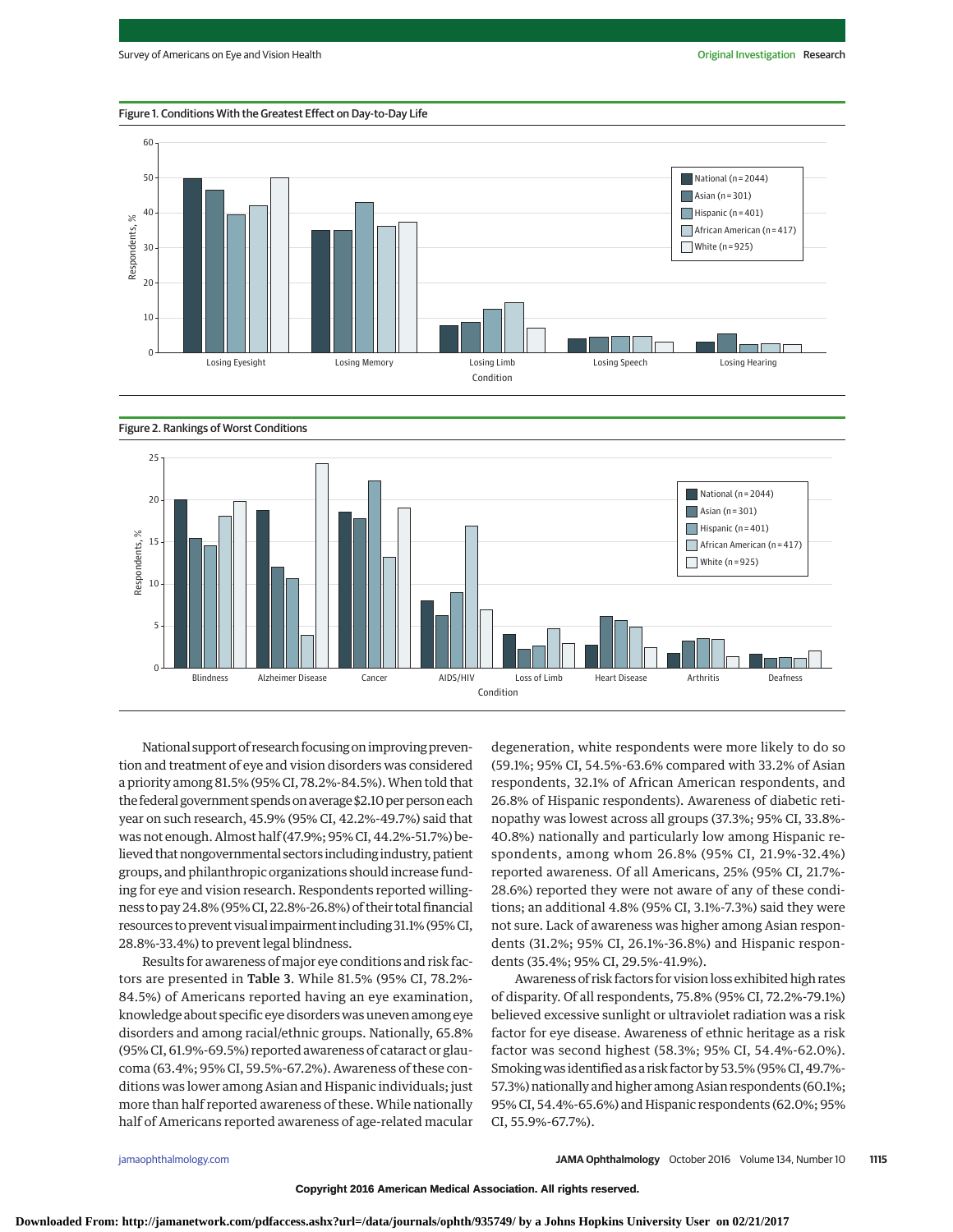#### Figure 1. Conditions With the Greatest Effect on Day-to-Day Life





Figure 2. Rankings of Worst Conditions

National support of research focusing on improving prevention and treatment of eye and vision disorders was considered a priority among 81.5% (95% CI, 78.2%-84.5%).When told that the federal government spends on average \$2.10 per person each year on such research, 45.9% (95% CI, 42.2%-49.7%) said that was not enough. Almost half (47.9%; 95% CI, 44.2%-51.7%) believed that nongovernmental sectors including industry, patient groups, and philanthropic organizations should increase funding for eye and vision research. Respondents reported willingness to pay 24.8% (95% CI, 22.8%-26.8%) of their total financial resources to prevent visual impairment including 31.1% (95% CI, 28.8%-33.4%) to prevent legal blindness.

Results for awareness of major eye conditions and risk factors are presented in Table 3. While 81.5% (95% CI, 78.2%- 84.5%) of Americans reported having an eye examination, knowledge about specific eye disorders was uneven among eye disorders and among racial/ethnic groups. Nationally, 65.8% (95% CI, 61.9%-69.5%) reported awareness of cataract or glaucoma (63.4%; 95% CI, 59.5%-67.2%). Awareness of these conditions was lower among Asian and Hispanic individuals; just more than half reported awareness of these. While nationally half of Americans reported awareness of age-related macular

degeneration, white respondents were more likely to do so (59.1%; 95% CI, 54.5%-63.6% compared with 33.2% of Asian respondents, 32.1% of African American respondents, and 26.8% of Hispanic respondents). Awareness of diabetic retinopathy was lowest across all groups (37.3%; 95% CI, 33.8%- 40.8%) nationally and particularly low among Hispanic respondents, among whom 26.8% (95% CI, 21.9%-32.4%) reported awareness. Of all Americans, 25% (95% CI, 21.7%- 28.6%) reported they were not aware of any of these conditions; an additional 4.8% (95% CI, 3.1%-7.3%) said they were not sure. Lack of awareness was higher among Asian respondents (31.2%; 95% CI, 26.1%-36.8%) and Hispanic respondents (35.4%; 95% CI, 29.5%-41.9%).

Awareness of risk factors for vision loss exhibited high rates of disparity. Of all respondents, 75.8% (95% CI, 72.2%-79.1%) believed excessive sunlight or ultraviolet radiation was a risk factor for eye disease. Awareness of ethnic heritage as a risk factor was second highest (58.3%; 95% CI, 54.4%-62.0%). Smoking was identified as a risk factor by 53.5% (95% CI, 49.7%-57.3%) nationally and higher among Asian respondents (60.1%; 95% CI, 54.4%-65.6%) and Hispanic respondents (62.0%; 95% CI, 55.9%-67.7%).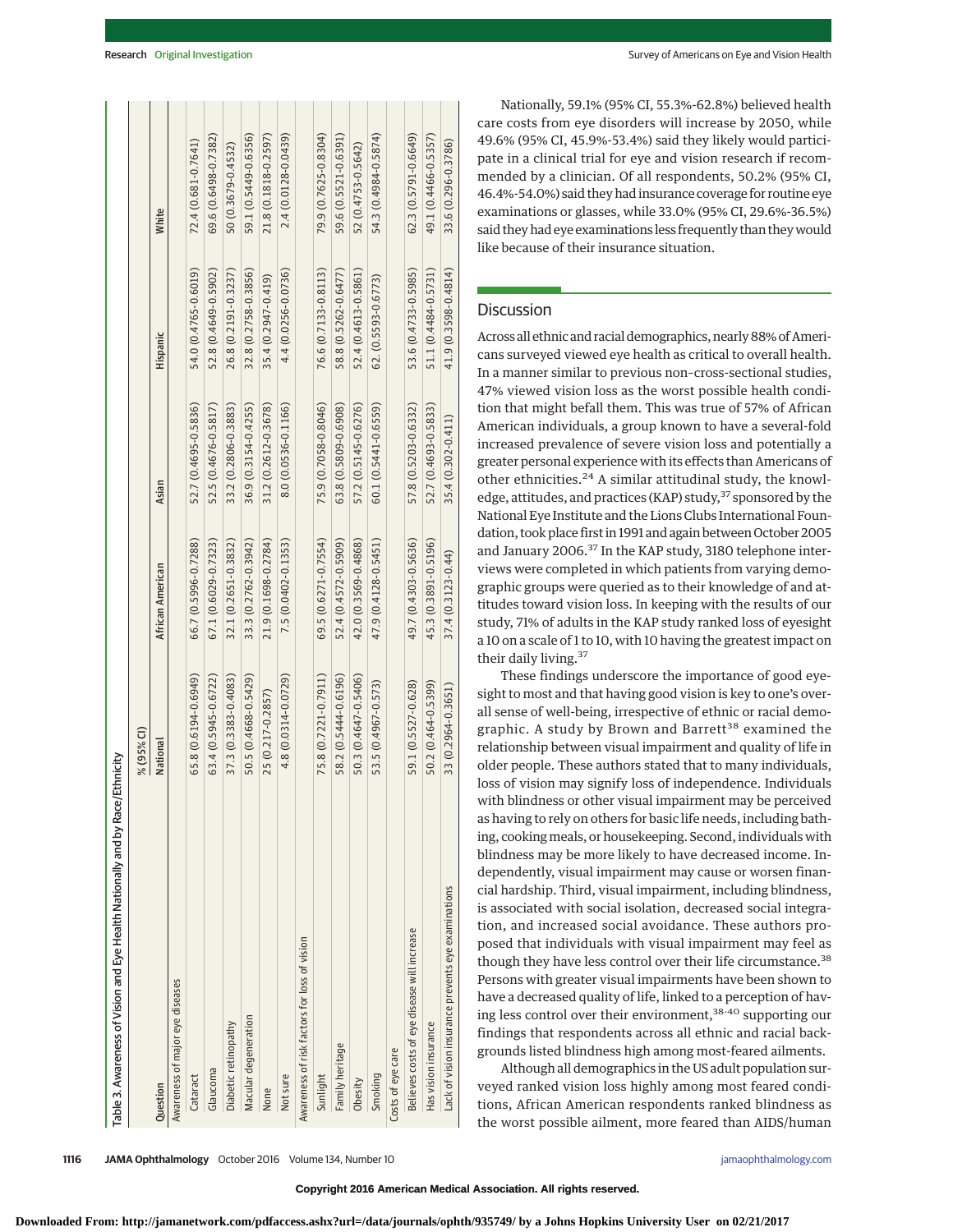| Table 3. Awareness of Vision and Eye Health Nationally and by Race | :/Ethnicity          |                       |                        |                      |                      |
|--------------------------------------------------------------------|----------------------|-----------------------|------------------------|----------------------|----------------------|
|                                                                    | % (95% CI)           |                       |                        |                      |                      |
| Question                                                           | National             | African American      | Asian                  | Hispanic             | White                |
| Awareness of major eye diseases                                    |                      |                       |                        |                      |                      |
| Cataract                                                           | 65.8 (0.6194-0.6949) | 66.7 (0.5996-0.7288)  | 52.7 (0.4695-0.5836)   | 54.0 (0.4765-0.6019) | 72.4 (0.681-0.7641)  |
| Glaucoma                                                           | 63.4 (0.5945-0.6722) | 67.1 (0.6029-0.7323)  | 52.5 (0.4676-0.5817)   | 52.8 (0.4649-0.5902) | 69.6 (0.6498-0.7382) |
| Diabetic retinopathy                                               | 37.3 (0.3383-0.4083) | 32.1 (0.2651-0.3832)  | 33.2 (0.2806-0.3883)   | 26.8 (0.2191-0.3237) | 50 (0.3679-0.4532)   |
| Macular degeneration                                               | 50.5 (0.4668-0.5429) | 33.3 (0.2762-0.3942)  | 36.9 (0.3154-0.4255)   | 32.8 (0.2758-0.3856) | 59.1 (0.5449-0.6356) |
| None                                                               | 25 (0.217-0.2857)    | 21.9 (0.1698-0.2784)  | 31.2 (0.2612-0.3678)   | 35.4 (0.2947-0.419)  | 21.8 (0.1818-0.2597) |
| Not sure                                                           | 4.8 (0.0314-0.0729)  | 7.5 (0.0402-0.1353)   | $8.0(0.0536 - 0.1166)$ | 4.4 (0.0256-0.0736)  | 2.4 (0.0128-0.0439)  |
| Awareness of risk factors for loss of vision                       |                      |                       |                        |                      |                      |
| Sunlight                                                           | 75.8 (0.7221-0.7911) | 69.5 (0.6271-0.7554)  | 75.9 (0.7058-0.8046)   | 76.6 (0.7133-0.8113) | 79.9 (0.7625-0.8304) |
| Family heritage                                                    | 58.2 (0.5444-0.6196) | 52.4 (0.4572-0.5909)  | 63.8 (0.5809-0.6908)   | 58.8 (0.5262-0.6477) | 59.6 (0.5521-0.6391) |
| Obesity                                                            | 50.3 (0.4647-0.5406) | 42.0 (0.3569-0.4868)  | 57.2 (0.5145-0.6276)   | 52.4 (0.4613-0.5861) | 52 (0.4753-0.5642)   |
| Smoking                                                            | 53.5 (0.4967-0.573)  | 47.9 (0.4128-0.5451)  | 60.1 (0.5441-0.6559)   | 62. (0.5593-0.6773)  | 54.3 (0.4984-0.5874) |
| Costs of eye care                                                  |                      |                       |                        |                      |                      |
| Believes costs of eye disease will increase                        | 59.1 (0.5527-0.628)  | 49.7 (0.4303-0.5636)  | 57.8 (0.5203-0.6332)   | 53.6 (0.4733-0.5985) | 62.3 (0.5791-0.6649) |
| Has vision insurance                                               | 50.2 (0.464-0.5399)  | 45.3 (0.3891-0.5196)  | 52.7 (0.4693-0.5833)   | 51.1 (0.4484-0.5731) | 49.1 (0.4466-0.5357) |
| Lack of vision insurance prevents eye examinations                 | 33 (0.2964-0.3651)   | $37.4(0.3123 - 0.44)$ | 35.4 (0.302-0.411)     | 41.9 (0.3598-0.4814) | 33.6 (0.296-0.3786)  |

Nationally, 59.1% (95% CI, 55.3%-62.8%) believed health care costs from eye disorders will increase by 2050, while 49.6% (95% CI, 45.9%-53.4%) said they likely would participate in a clinical trial for eye and vision research if recommended by a clinician. Of all respondents, 50.2% (95% CI, 46.4%-54.0%) said they had insurance coverage for routine eye examinations or glasses, while 33.0% (95% CI, 29.6%-36.5%) said they had eye examinations less frequently than theywould like because of their insurance situation.

## **Discussion**

Across all ethnic and racial demographics, nearly 88% of Americans surveyed viewed eye health as critical to overall health. In a manner similar to previous non–cross-sectional studies, 47% viewed vision loss as the worst possible health condition that might befall them. This was true of 57% of African American individuals, a group known to have a several-fold increased prevalence of severe vision loss and potentially a greater personal experience with its effects than Americans of other ethnicities.<sup>24</sup> A similar attitudinal study, the knowledge, attitudes, and practices (KAP) study,<sup>37</sup> sponsored by the National Eye Institute and the Lions Clubs International Foundation, took place first in 1991 and again between October 2005 and January 2006.<sup>37</sup> In the KAP study, 3180 telephone interviews were completed in which patients from varying demographic groups were queried as to their knowledge of and attitudes toward vision loss. In keeping with the results of our study, 71% of adults in the KAP study ranked loss of eyesight a 10 on a scale of 1 to 10, with 10 having the greatest impact on their daily living.<sup>37</sup>

These findings underscore the importance of good eyesight to most and that having good vision is key to one's overall sense of well-being, irrespective of ethnic or racial demographic. A study by Brown and Barrett<sup>38</sup> examined the relationship between visual impairment and quality of life in older people. These authors stated that to many individuals, loss of vision may signify loss of independence. Individuals with blindness or other visual impairment may be perceived as having to rely on others for basic life needs, including bathing, cookingmeals, or housekeeping. Second, individuals with blindness may be more likely to have decreased income. Independently, visual impairment may cause or worsen financial hardship. Third, visual impairment, including blindness, is associated with social isolation, decreased social integration, and increased social avoidance. These authors proposed that individuals with visual impairment may feel as though they have less control over their life circumstance.<sup>38</sup> Persons with greater visual impairments have been shown to have a decreased quality of life, linked to a perception of having less control over their environment,<sup>38-40</sup> supporting our findings that respondents across all ethnic and racial backgrounds listed blindness high among most-feared ailments.

Although all demographics in the US adult population surveyed ranked vision loss highly among most feared conditions, African American respondents ranked blindness as the worst possible ailment, more feared than AIDS/human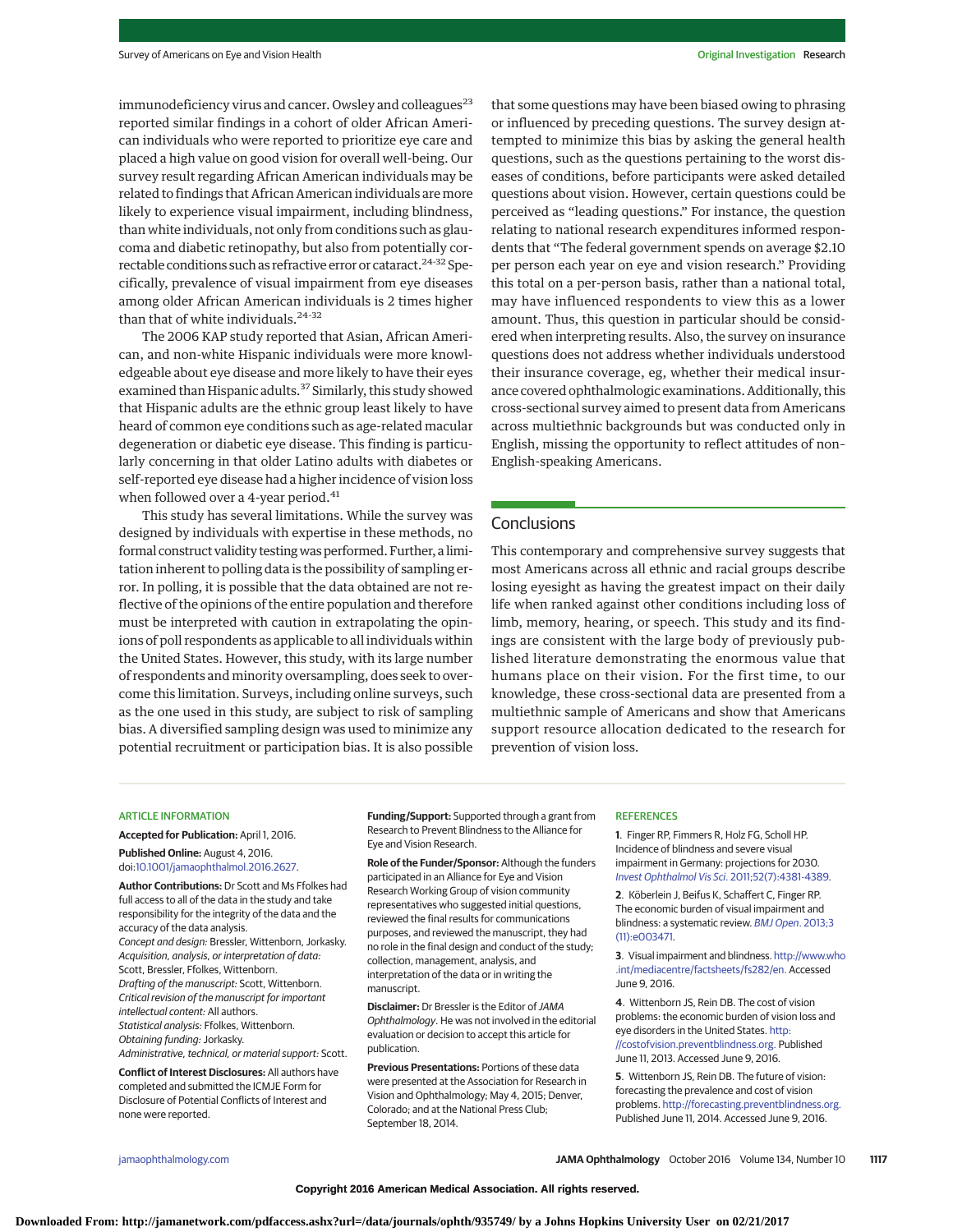immunodeficiency virus and cancer. Owsley and colleagues $^{23}$ reported similar findings in a cohort of older African American individuals who were reported to prioritize eye care and placed a high value on good vision for overall well-being. Our survey result regarding African American individuals may be related to findings that African American individuals are more likely to experience visual impairment, including blindness, than white individuals, not only from conditions such as glaucoma and diabetic retinopathy, but also from potentially correctable conditions such as refractive error or cataract.<sup>24-32</sup> Specifically, prevalence of visual impairment from eye diseases among older African American individuals is 2 times higher than that of white individuals.<sup>24-32</sup>

The 2006 KAP study reported that Asian, African American, and non-white Hispanic individuals were more knowledgeable about eye disease and more likely to have their eyes examined than Hispanic adults.<sup>37</sup> Similarly, this study showed that Hispanic adults are the ethnic group least likely to have heard of common eye conditions such as age-related macular degeneration or diabetic eye disease. This finding is particularly concerning in that older Latino adults with diabetes or self-reported eye disease had a higher incidence of vision loss when followed over a 4-year period.<sup>41</sup>

This study has several limitations. While the survey was designed by individuals with expertise in these methods, no formal construct validity testingwas performed. Further, a limitation inherent to polling data is the possibility of sampling error. In polling, it is possible that the data obtained are not reflective of the opinions of the entire population and therefore must be interpreted with caution in extrapolating the opinions of poll respondents as applicable to all individuals within the United States. However, this study, with its large number of respondents and minority oversampling, does seek to overcome this limitation. Surveys, including online surveys, such as the one used in this study, are subject to risk of sampling bias. A diversified sampling design was used to minimize any potential recruitment or participation bias. It is also possible

that some questions may have been biased owing to phrasing or influenced by preceding questions. The survey design attempted to minimize this bias by asking the general health questions, such as the questions pertaining to the worst diseases of conditions, before participants were asked detailed questions about vision. However, certain questions could be perceived as "leading questions." For instance, the question relating to national research expenditures informed respondents that "The federal government spends on average \$2.10 per person each year on eye and vision research." Providing this total on a per-person basis, rather than a national total, may have influenced respondents to view this as a lower amount. Thus, this question in particular should be considered when interpreting results. Also, the survey on insurance questions does not address whether individuals understood their insurance coverage, eg, whether their medical insurance covered ophthalmologic examinations. Additionally, this cross-sectional survey aimed to present data from Americans across multiethnic backgrounds but was conducted only in English, missing the opportunity to reflect attitudes of non– English-speaking Americans.

### **Conclusions**

This contemporary and comprehensive survey suggests that most Americans across all ethnic and racial groups describe losing eyesight as having the greatest impact on their daily life when ranked against other conditions including loss of limb, memory, hearing, or speech. This study and its findings are consistent with the large body of previously published literature demonstrating the enormous value that humans place on their vision. For the first time, to our knowledge, these cross-sectional data are presented from a multiethnic sample of Americans and show that Americans support resource allocation dedicated to the research for prevention of vision loss.

#### ARTICLE INFORMATION

**Accepted for Publication:** April 1, 2016.

**Published Online:** August 4, 2016. doi[:10.1001/jamaophthalmol.2016.2627.](http://jama.jamanetwork.com/article.aspx?doi=10.1001/jamaophthalmol.2016.2627&utm_campaign=articlePDF%26utm_medium=articlePDFlink%26utm_source=articlePDF%26utm_content=jamaophthalmol.2016.2627)

**Author Contributions:** Dr Scott and Ms Ffolkes had full access to all of the data in the study and take responsibility for the integrity of the data and the accuracy of the data analysis. Concept and design: Bressler, Wittenborn, Jorkasky. Acquisition, analysis, or interpretation of data: Scott, Bressler, Ffolkes, Wittenborn. Drafting of the manuscript: Scott, Wittenborn. Critical revision of the manuscript for important intellectual content: All authors. Statistical analysis: Ffolkes, Wittenborn. Obtaining funding: Jorkasky. Administrative, technical, or material support: Scott.

**Conflict of Interest Disclosures:** All authors have completed and submitted the ICMJE Form for Disclosure of Potential Conflicts of Interest and none were reported.

**Funding/Support:** Supported through a grant from Research to Prevent Blindness to the Alliance for Eye and Vision Research.

**Role of the Funder/Sponsor:** Although the funders participated in an Alliance for Eye and Vision Research Working Group of vision community representatives who suggested initial questions, reviewed the final results for communications purposes, and reviewed the manuscript, they had no role in the final design and conduct of the study; collection, management, analysis, and interpretation of the data or in writing the manuscript.

**Disclaimer:** Dr Bressler is the Editor of JAMA Ophthalmology. He was not involved in the editorial evaluation or decision to accept this article for publication.

**Previous Presentations:** Portions of these data were presented at the Association for Research in Vision and Ophthalmology; May 4, 2015; Denver, Colorado; and at the National Press Club; September 18, 2014.

#### **REFERENCES**

**1**. Finger RP, Fimmers R, Holz FG, Scholl HP. Incidence of blindness and severe visual impairment in Germany: projections for 2030. [Invest Ophthalmol Vis Sci](http://www.ncbi.nlm.nih.gov/pubmed/21447690). 2011;52(7):4381-4389.

**2**. Köberlein J, Beifus K, Schaffert C, Finger RP. The economic burden of visual impairment and blindness: a systematic review. [BMJ Open](http://www.ncbi.nlm.nih.gov/pubmed/24202057). 2013;3 [\(11\):e003471.](http://www.ncbi.nlm.nih.gov/pubmed/24202057)

**3**. Visual impairment and blindness. [http://www.who](http://www.who.int/mediacentre/factsheets/fs282/en) [.int/mediacentre/factsheets/fs282/en.](http://www.who.int/mediacentre/factsheets/fs282/en) Accessed June 9, 2016.

**4**. Wittenborn JS, Rein DB. The cost of vision problems: the economic burden of vision loss and eye disorders in the United States. [http:](http://costofvision.preventblindness.org) [//costofvision.preventblindness.org.](http://costofvision.preventblindness.org) Published June 11, 2013. Accessed June 9, 2016.

**5**. Wittenborn JS, Rein DB. The future of vision: forecasting the prevalence and cost of vision problems. [http://forecasting.preventblindness.org.](http://forecasting.preventblindness.org) Published June 11, 2014. Accessed June 9, 2016.